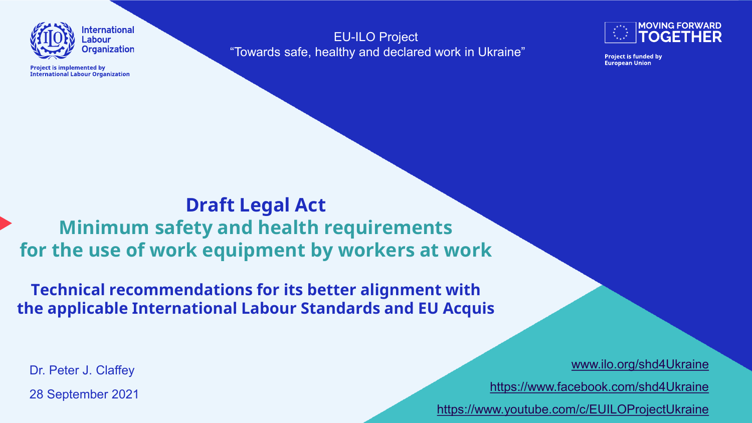

**Project is implemented by International Labour Organization** 

EU-ILO Project "Towards safe, healthy and declared work in Ukraine"



**Project is funded by European Union** 

**Draft Legal Act Minimum safety and health requirements for the use of work equipment by workers at work**

**Technical recommendations for its better alignment with the applicable International Labour Standards and EU Acquis**

Dr. Peter J. Claffey

28 September 2021

[www.ilo.org/shd4Ukraine](http://www.ilo.org/shd4Ukraine)

<https://www.facebook.com/shd4Ukraine>

<https://www.youtube.com/c/EUILOProjectUkraine>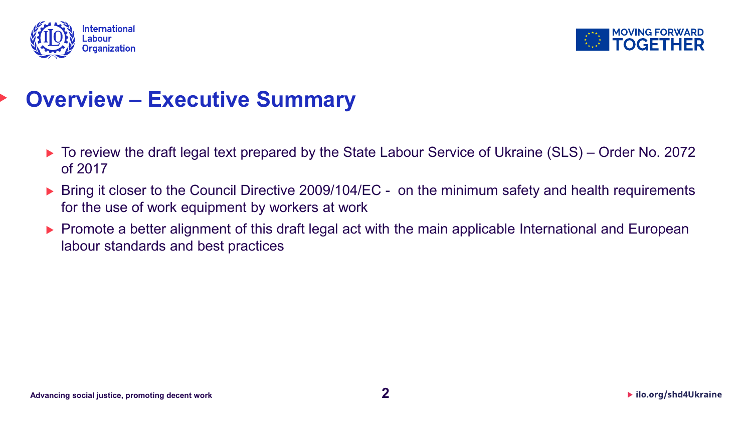



#### **Overview – Executive Summary**

- ▶ To review the draft legal text prepared by the State Labour Service of Ukraine (SLS) Order No. 2072 of 2017
- ▶ Bring it closer to the Council Directive 2009/104/EC on the minimum safety and health requirements for the use of work equipment by workers at work
- ▶ Promote a better alignment of this draft legal act with the main applicable International and European labour standards and best practices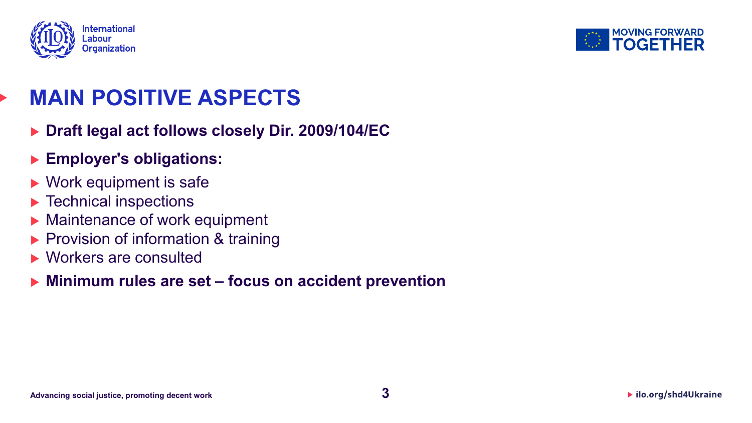



#### **MAIN POSITIVE ASPECTS**

- **Draft legal act follows closely Dir. 2009/104/EC**
- **Employer's obligations:**
- ▶ Work equipment is safe
- **Fechnical inspections**
- Maintenance of work equipment
- Provision of information & training
- **Norkers are consulted**
- **Minimum rules are set – focus on accident prevention**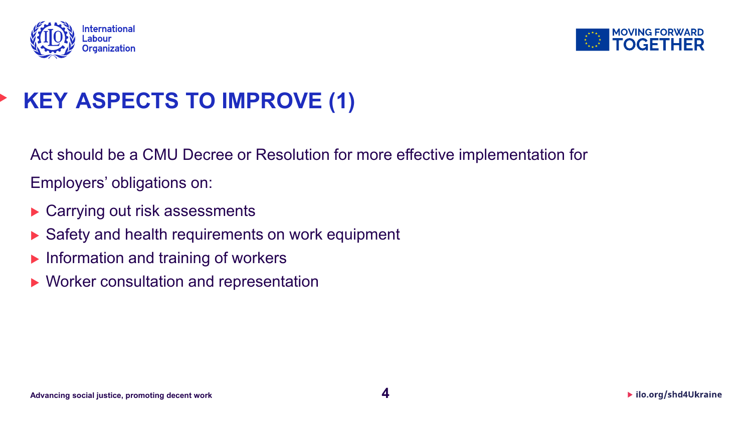



# **KEY ASPECTS TO IMPROVE (1)**

Act should be a CMU Decree or Resolution for more effective implementation for

Employers' obligations on:

- ▶ Carrying out risk assessments
- Safety and health requirements on work equipment
- $\blacktriangleright$  Information and training of workers
- ▶ Worker consultation and representation

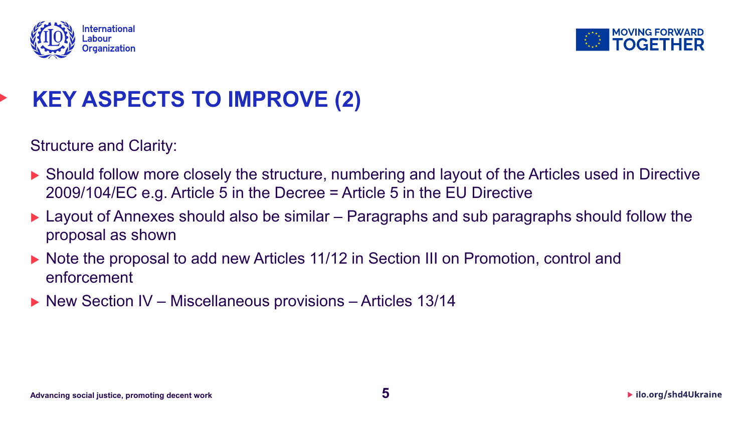



# **KEY ASPECTS TO IMPROVE (2)**

Structure and Clarity:

- ▶ Should follow more closely the structure, numbering and layout of the Articles used in Directive 2009/104/EC e.g. Article 5 in the Decree = Article 5 in the EU Directive
- ▶ Layout of Annexes should also be similar Paragraphs and sub paragraphs should follow the proposal as shown
- ▶ Note the proposal to add new Articles 11/12 in Section III on Promotion, control and enforcement
- ▶ New Section IV Miscellaneous provisions Articles 13/14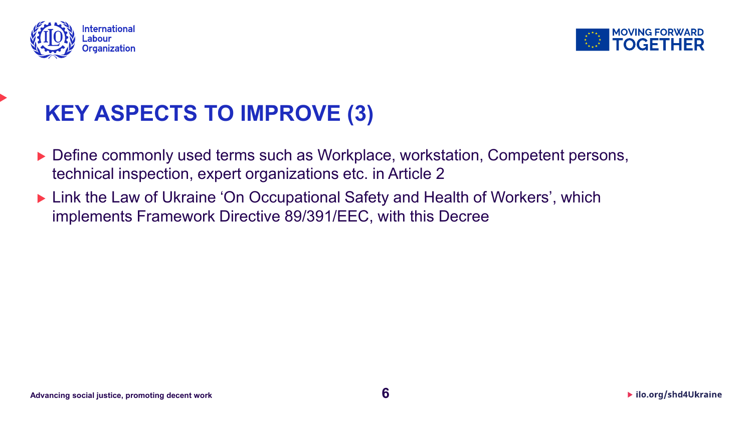



# **KEY ASPECTS TO IMPROVE (3)**

- ▶ Define commonly used terms such as Workplace, workstation, Competent persons, technical inspection, expert organizations etc. in Article 2
- ▶ Link the Law of Ukraine 'On Occupational Safety and Health of Workers', which implements Framework Directive 89/391/EEC, with this Decree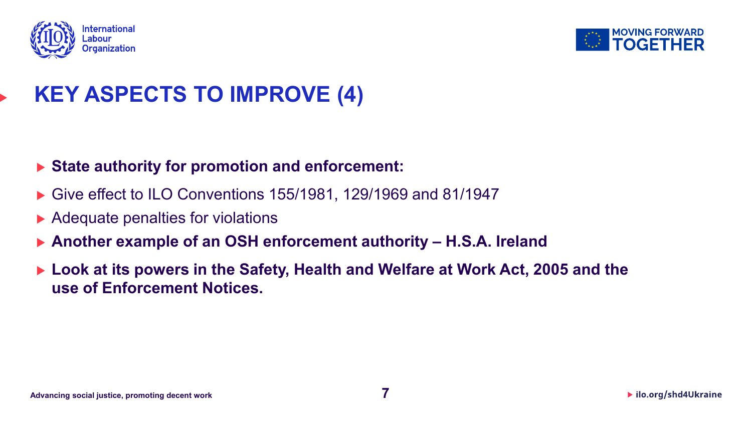



# **KEY ASPECTS TO IMPROVE (4)**

#### **State authority for promotion and enforcement:**

- ▶ Give effect to ILO Conventions 155/1981, 129/1969 and 81/1947
- ▶ Adequate penalties for violations
- **Another example of an OSH enforcement authority – H.S.A. Ireland**
- ▶ Look at its powers in the Safety, Health and Welfare at Work Act, 2005 and the **use of Enforcement Notices.**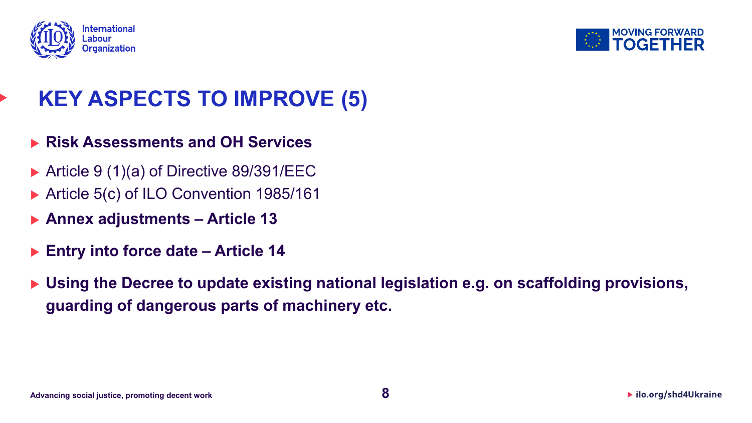



### **KEY ASPECTS TO IMPROVE (5)**

- **Risk Assessments and OH Services**
- ▶ Article 9 (1)(a) of Directive 89/391/EEC
- Article 5(c) of ILO Convention 1985/161
- **Annex adjustments – Article 13**
- **Entry into force date – Article 14**
- ▶ Using the Decree to update existing national legislation e.g. on scaffolding provisions, **guarding of dangerous parts of machinery etc.**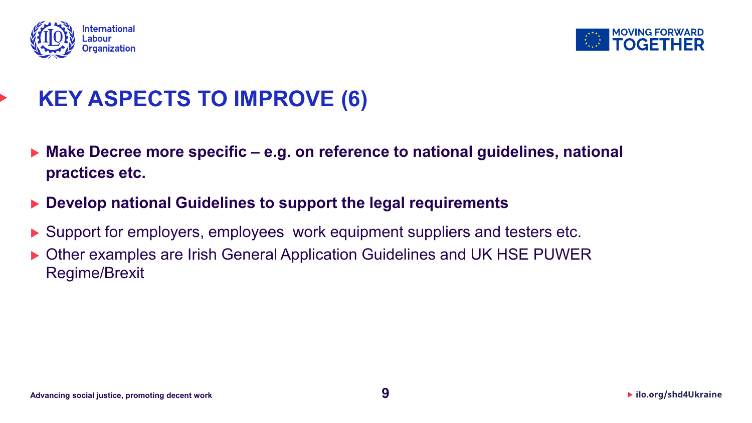



## **KEY ASPECTS TO IMPROVE (6)**

- **Make Decree more specific – e.g. on reference to national guidelines, national practices etc.**
- ▶ Develop national Guidelines to support the legal requirements
- ▶ Support for employers, employees work equipment suppliers and testers etc.
- ▶ Other examples are Irish General Application Guidelines and UK HSE PUWER Regime/Brexit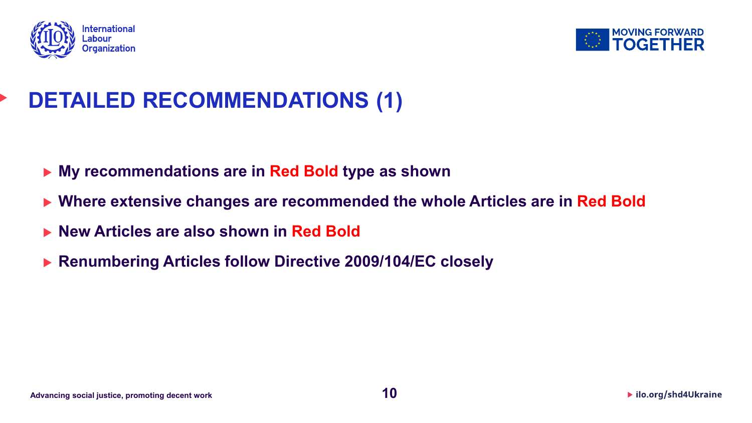



# **DETAILED RECOMMENDATIONS (1)**

- **My recommendations are in Red Bold type as shown**
- **Where extensive changes are recommended the whole Articles are in Red Bold**
- **New Articles are also shown in Red Bold**
- **Renumbering Articles follow Directive 2009/104/EC closely**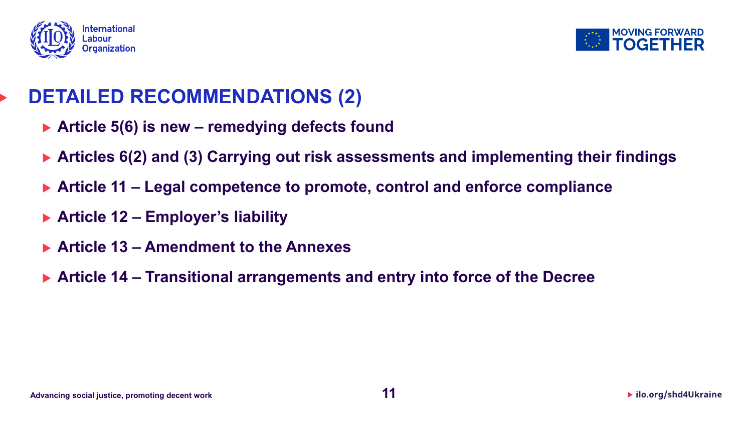



#### **DETAILED RECOMMENDATIONS (2)**

- **Article 5(6) is new – remedying defects found**
- **Articles 6(2) and (3) Carrying out risk assessments and implementing their findings**
- **Article 11 – Legal competence to promote, control and enforce compliance**
- **Article 12 – Employer's liability**
- **Article 13 – Amendment to the Annexes**
- **Article 14 – Transitional arrangements and entry into force of the Decree**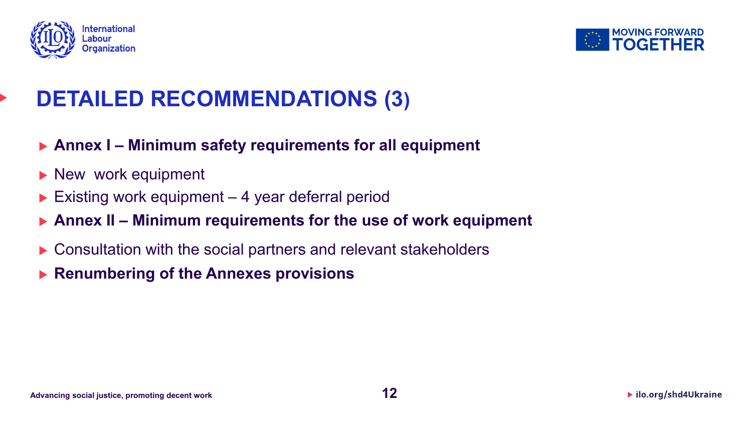



### **DETAILED RECOMMENDATIONS (3)**

- **Annex I – Minimum safety requirements for all equipment**
- New work equipment
- $\triangleright$  Existing work equipment 4 year deferral period
- **Annex II – Minimum requirements for the use of work equipment**
- Consultation with the social partners and relevant stakeholders
- **Renumbering of the Annexes provisions**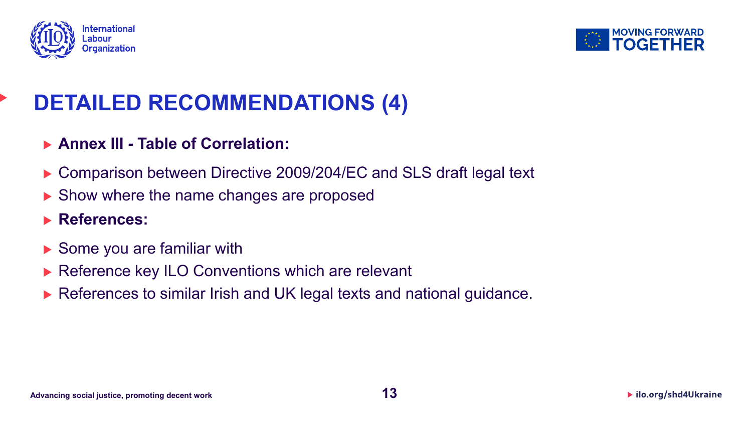



# **DETAILED RECOMMENDATIONS (4)**

#### **Annex III - Table of Correlation:**

- ▶ Comparison between Directive 2009/204/EC and SLS draft legal text
- ▶ Show where the name changes are proposed

#### **References:**

- ▶ Some you are familiar with
- ▶ Reference key ILO Conventions which are relevant
- References to similar Irish and UK legal texts and national guidance.